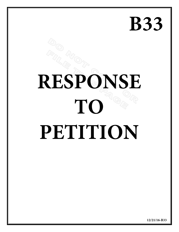## **B33**

# **RESPONSE TO PETITION**

**12/21/16-B33**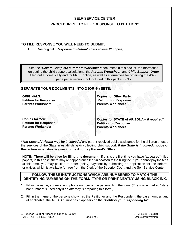#### SELF-SERVICE CENTER

#### **PROCEDURES: TO FILE "RESPONSE TO PETITION"**

#### **TO FILE RESPONSE YOU WILL NEED TO SUBMIT:**

• One original *"Response to Peition"* (**plus** *at least 2\** copies).

See the *"How to Complete a Parents Worksheet"* document in this packet for information on getting the child support calculations, the *Parents Worksheet*, and *Child Support Order* filled out automatically and for **FREE** online, as well as alternatives for obtaining the 40-50 page paper version (not included in this packet). C17

#### **SEPARATE YOUR DOCUMENTS INTO 3 (OR 4\*) SETS:**

| <b>ORIGINALS:</b>            | <b>Copies for Other Party:</b>             |
|------------------------------|--------------------------------------------|
| <b>Petition for Response</b> | <b>Petition for Response</b>               |
| <b>Parents Worksheet</b>     | <b>Parents Worksheet</b>                   |
| <b>Copies for You:</b>       | Copies for STATE of ARIZONA - if required* |
| <b>Petition for Response</b> | <b>Petition for Response</b>               |
| <b>Parents Worksheet</b>     | <b>Parents Worksheet</b>                   |

\**The State of Arizona may be involved if* any parent received public assistance for the children or used the services of the State in establishing or collecting child support. *If the State is involved***, notice of this action** *must* **also be given to the Attorney General's Office.**

**NOTE: There will be a fee for filing this document.** If this is the first time you have "appeared" (filed papers) in this case, there may an "appearance fee" *in addition to* the filing fee. If you cannot pay the fees at this time, you may petition to defer (delay) payment by submitting an application for fee deferral or waiver, which is available for free from the Clerk of the Superior Court and the Self-Service Center.

#### **FOLLOW THESE INSTRUCTIONS WHICH ARE NUMBERED TO MATCH THE IDENTIFYING NUMBERS ON THE FORM. TYPE OR PRINT NEATLY USING BLACK INK.**

- **1.** Fill in the name, address, and phone number of the person filing the form. (The space marked "state bar number" is used only if an attorney is preparing this form.)
- **2**. Fill in the name of the persons shown as the Petitioner and the Respondent, the case number, and (if applicable) the ATLAS number as it appears on the *"Petition your responding to".*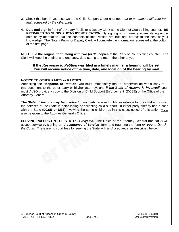- **3**. Check this box **IF** you also want the Child Support Order changed, *but to an amount different from that requested by the other party*.
- **4. Date and sign** in front of a Notary Public or a Deputy Clerk at the Clerk of Court's filing counter. **BE PREPARED TO SHOW PHOTO IDENTIFICATION**. By signing your name, you are stating under oath or by affirmation that the contents of this Petition are true and correct to the best of your knowledge. The Notary Public or Deputy Clerk will complete the information requested at the bottom of the first page.

**NEXT: File the original form along with two (or 3\*) copies** at the Clerk of Court's filing counter. The Clerk will keep the original and one copy, date-stamp and return the other to you.

**If the** *Response to Petition* **was filed in a timely manner a hearing will be set. You will receive notice of the time, date, and location of the hearing by mail.**

#### **NOTICE TO OTHER PARTY or PARTIES**

After filing the **Response to Petition**, you must immediately mail or otherwise deliver a copy of this document to the other party or his/her attorney, and *if the State of Arizona is involved\** you must ALSO provide a copy to the Division of Child Support Enforcement (DCSE) of the Office of the Attorney General.

**The State of Arizona may be involved if** any party received public assistance for the children or used the services of the State in establishing or collecting child support. If either party already has a case with the State **(DCSE or DES)** involving the same children as in this case, notice of this action *must* also be given to the Attorney General's Office**.**

**SERVING PAPERS ON THE STATE:** *(if required).* The Office of the Attorney General (the "**AG**") will accept service by signing an "*Acceptance of Service*" form and returning the form *for you to file with the Court*. There are no court fees for serving the State with an *Acceptance*, as described below: